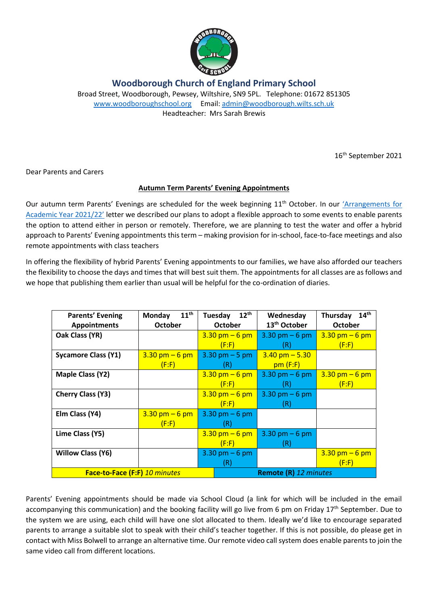

**Woodborough Church of England Primary School**

Broad Street, Woodborough, Pewsey, Wiltshire, SN9 5PL. Telephone: 01672 851305 [www.woodboroughschool.org](http://www.woodboroughschool.org/) Email: [admin@woodborough.wilts.sch.uk](mailto:admin@woodborough.wilts.sch.uk) Headteacher: Mrs Sarah Brewis

16th September 2021

Dear Parents and Carers

## **Autumn Term Parents' Evening Appointments**

Our autumn term Parents' Evenings are scheduled for the week beginning 11<sup>th</sup> October. In our 'Arrangements for [Academic Year 2021/22'](https://woodboroughschool.org/wp-content/uploads/2021/09/Letter-to-Parents-and-Carers-re.-Arrangements-for-Academic-Year-2021-2022-16.07.21.pdf) letter we described our plans to adopt a flexible approach to some events to enable parents the option to attend either in person or remotely. Therefore, we are planning to test the water and offer a hybrid approach to Parents' Evening appointments this term – making provision for in-school, face-to-face meetings and also remote appointments with class teachers

In offering the flexibility of hybrid Parents' Evening appointments to our families, we have also afforded our teachers the flexibility to choose the days and times that will best suit them. The appointments for all classes are as follows and we hope that publishing them earlier than usual will be helpful for the co-ordination of diaries.

| <b>Parents' Evening</b>       | $11^{\text{th}}$<br>Monday | $12^{\text{th}}$<br>Tuesday      | Wednesday                        | 14 <sup>th</sup><br>Thursday     |
|-------------------------------|----------------------------|----------------------------------|----------------------------------|----------------------------------|
| <b>Appointments</b>           | <b>October</b>             | <b>October</b>                   | 13 <sup>th</sup> October         | <b>October</b>                   |
| Oak Class (YR)                |                            | $3.30$ pm $-6$ pm                | 3.30 pm $-6$ pm                  | $3.30 \text{ pm} - 6 \text{ pm}$ |
|                               |                            | (F:F)                            | (R)                              | (F: F)                           |
| <b>Sycamore Class (Y1)</b>    | $3.30$ pm $-6$ pm          | $3.30 \text{ pm} - 5 \text{ pm}$ | $3.40$ pm $- 5.30$               |                                  |
|                               | (F: F)                     | (R)                              | pm(F:F)                          |                                  |
| Maple Class (Y2)              |                            | $3.30$ pm $-6$ pm                | 3.30 pm $-6$ pm                  | $3.30$ pm $-6$ pm                |
|                               |                            | (F:F)                            | (R)                              | (F: F)                           |
| <b>Cherry Class (Y3)</b>      |                            | $3.30 \text{ pm} - 6 \text{ pm}$ | $3.30 \text{ pm} - 6 \text{ pm}$ |                                  |
|                               |                            | (F: F)                           | (R)                              |                                  |
| Elm Class (Y4)                | $3.30$ pm $-6$ pm          | $3.30 \text{ pm} - 6 \text{ pm}$ |                                  |                                  |
|                               | (F: F)                     | (R)                              |                                  |                                  |
| Lime Class (Y5)               |                            | $3.30 \text{ pm} - 6 \text{ pm}$ | $3.30 \text{ pm} - 6 \text{ pm}$ |                                  |
|                               |                            | (F: F)                           | (R)                              |                                  |
| <b>Willow Class (Y6)</b>      |                            | $3.30 \text{ pm} - 6 \text{ pm}$ |                                  | $3.30 \text{ pm} - 6 \text{ pm}$ |
|                               |                            | (R)                              |                                  | (F: F)                           |
| Face-to-Face (F:F) 10 minutes |                            |                                  | <b>Remote (R)</b> 12 minutes     |                                  |

Parents' Evening appointments should be made via School Cloud (a link for which will be included in the email accompanying this communication) and the booking facility will go live from 6 pm on Friday 17<sup>th</sup> September. Due to the system we are using, each child will have one slot allocated to them. Ideally we'd like to encourage separated parents to arrange a suitable slot to speak with their child's teacher together. If this is not possible, do please get in contact with Miss Bolwell to arrange an alternative time. Our remote video call system does enable parents to join the same video call from different locations.